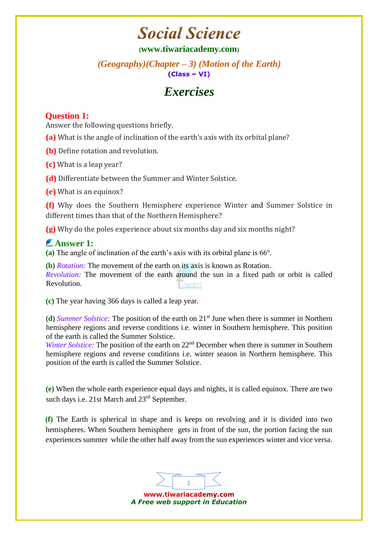## **Social Science**

#### **([www.tiwariacademy.com](http://www.tiwariacademy.com/))**

#### *(Geography)(Chapter – 3) (Motion of the Earth)*   $(Class - VI)$

### *Exercises*

#### **Question 1:**

Answer the following questions briefly.

**(a)** What is the angle of inclination of the earth's axis with its orbital plane?

**(b)** Define rotation and revolution.

**(c)** What is a leap year?

**(d)** Differentiate between the Summer and Winter Solstice.

**(e)** What is an equinox?

**(f)** Why does the Southern Hemisphere experience Winter [and](http://www.tiwariacademy.com/) Summer Solstice in different times than that of the Northern Hemisphere?

**(g)** Why do the poles experience about six months day and six months night?

#### **Answer 1:**

(a) The angle of inclination of the earth's axis with its orbital plane is 66<sup>o</sup>.

**(b)** *Rotation:* The movement of the earth on its axis is known as Rotation. *Revolution:* The movement of the earth around the sun in a fixed path or orbit is called Revolution.

**(c)** The year having 366 days is called a leap year.

**(d)** *Summer Solstice:* The position of the earth on 21st June when there is summer in Northern hemisphere regions [and](http://www.tiwariacademy.com/) reverse conditions i.e. winter in Southern hemisphere. This position of the earth is called the Summer Solstice.

*Winter Solstice:* The position of the earth on 22<sup>nd</sup> December when there is summer in Southern hemisphere regions and reverse conditions i.e. winter season in Northern hemisphere. This position of the earth is called the Summer Solstice.

**(e)** When the whole earth experience equal days and nights, it is called equinox. There are two such days i.e. 21st March and 23rd September.

**(f)** The Earth is spherical in shape [and](http://www.tiwariacademy.com/) is keeps on revolving and it is divided into two hemispheres. When Southern hemisphere gets in front of the sun, the portion facing the sun experiences summer while the other half away from the sun experiences winter and vice versa.



www.tiwariacademy.com *A Free web support in Education*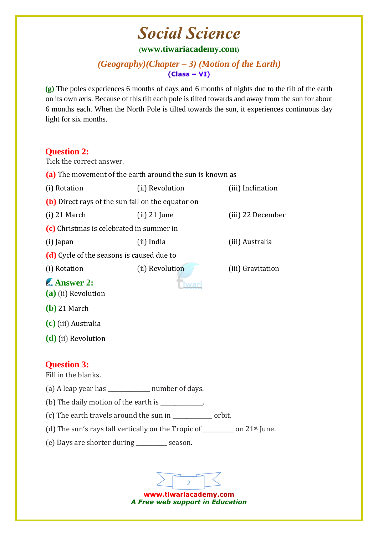# **Social Science**

#### **([www.tiwariacademy.com](http://www.tiwariacademy.com/))**

#### *(Geography)(Chapter – 3) (Motion of the Earth)*   $(Class - VI)$

**(g)** The poles experiences 6 months of days [and](http://www.tiwariacademy.com/) 6 months of nights due to the tilt of the earth on its own axis. Because of this tilt each pole is tilted towards and away from the sun for about 6 months each. When the North Pole is tilted towards the sun, it experiences continuous day light for six months.

#### **Question 2:**

Tick the correct answer. **(a)** The movement of the earth around the sun is known as (i) Rotation (ii) Revolution (iii) Inclination **(b)** Direct rays of the sun fall on the equator on (i) 21 March (ii) 21 June (iii) 22 December **(c)** Christmas is celebrated in summer in (i) Japan (ii) India (iii) Australia **(d)** Cycle of the seasons is caused due to (i) Rotation (ii) Revolution (iii) Gravitation **Answer 2: Tiwari (a)** (ii) Revolution **(b)** 21 March **(c)** (iii) Australia **(d)** (ii) Revolution **Question 3:**  Fill in the blanks. (a) A leap year has \_\_\_\_\_\_\_\_\_\_\_\_\_\_\_ number of days. (b) The daily motion of the earth is \_\_\_\_\_\_\_\_\_\_\_\_. (c) The earth travels around the sun in \_\_\_\_\_\_\_\_\_\_\_\_\_\_ orbit. (d) The sun's rays fall vertically on the Tropic of \_\_\_\_\_\_\_\_\_\_\_ on 21st June. (e) Days are shorter during \_\_\_\_\_\_\_\_\_\_\_ season.

> www.tiwariacademy.com *A Free web support in Education*

2